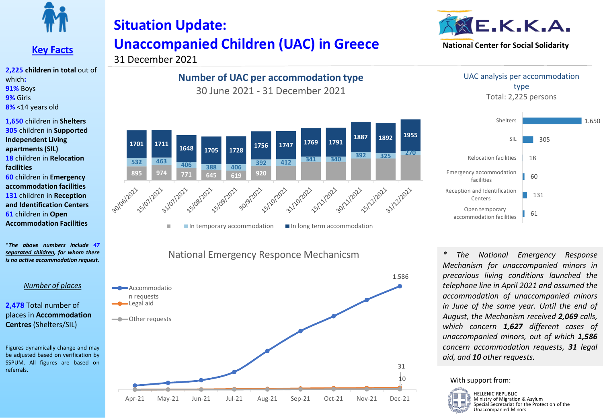

#### **Key Facts**

**2,225 children in total** out of which**: 91%** Boys **9%** Girls **8%** <14 years old

**1,650** children in **Shelters 305** children in **Supported Independent Living apartments (SIL) 18** children in **Relocation facilities 60** children in **Emergency accommodation facilities 131** children in **Reception and Identification Centers 61** children in **Open Accommodation Facilities**

\**The above numbers include 47 separated children, for whom there is no active accommodation request.*

#### *Number of places*

**2,478** Total number of places in **Accommodation Centres** (Shelters/SIL)

Figures dynamically change and may be adjusted based on verification by SSPUM. All figures are based on referrals.

# **Situation Update: Unaccompanied Children (UAC) in Greece**

### 31 December 2021

**Number of UAC per accommodation type** 30 June 2021 - 31 December 2021



National Emergency Responce Mechanicsm







*\* The National Emergency Response Mechanism for unaccompanied minors in precarious living conditions launched the telephone line in April 2021 and assumed the accommodation of unaccompanied minors in June of the same year. Until the end of August, the Mechanism received 2,069 calls, which concern 1,627 different cases of unaccompanied minors, out of which 1,586 concern accommodation requests, 31 legal aid, and 10 other requests.*

With support from:



HELLENIC REPUBLIC Ministry of Migration & Asylum Special Secretariat for the Protection of the Unaccompanied Minors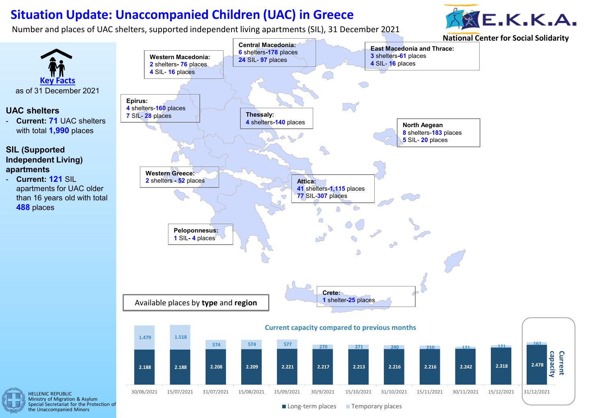## **Situation Update: Unaccompanied Children (UAC) in Greece**

Number and places of UAC shelters, supported independent living apartments (SIL), 31 December 2021







Special Secretariat for the Protection of the Unaccompanied Minors

Long-term places Temporary places